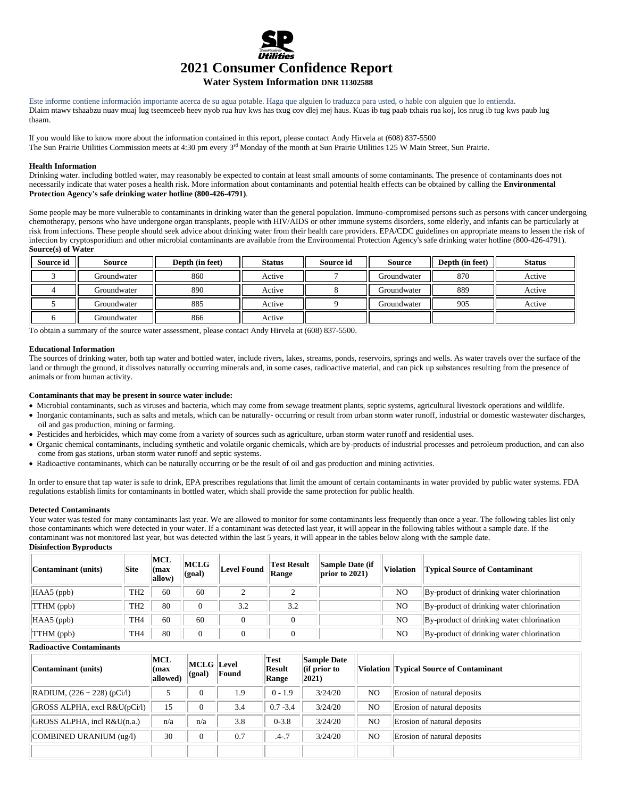

# **Water System Information DNR 11302588**

Este informe contiene información importante acerca de su agua potable. Haga que alguien lo traduzca para usted, o hable con alguien que lo entienda. Dlaim ntawv tshaabzu nuav muaj lug tseemceeb heev nyob rua huv kws has txug cov dlej mej haus. Kuas ib tug paab txhais rua koj, los nrug ib tug kws paub lug thaam.

If you would like to know more about the information contained in this report, please contact Andy Hirvela at (608) 837-5500 The Sun Prairie Utilities Commission meets at 4:30 pm every 3<sup>rd</sup> Monday of the month at Sun Prairie Utilities 125 W Main Street, Sun Prairie.

#### **Health Information**

Drinking water. including bottled water, may reasonably be expected to contain at least small amounts of some contaminants. The presence of contaminants does not necessarily indicate that water poses a health risk. More information about contaminants and potential health effects can be obtained by calling the **Environmental Protection Agency's safe drinking water hotline (800-426-4791)**.

Some people may be more vulnerable to contaminants in drinking water than the general population. Immuno-compromised persons such as persons with cancer undergoing chemotherapy, persons who have undergone organ transplants, people with HIV/AIDS or other immune systems disorders, some elderly, and infants can be particularly at risk from infections. These people should seek advice about drinking water from their health care providers. EPA/CDC guidelines on appropriate means to lessen the risk of infection by cryptosporidium and other microbial contaminants are available from the Environmental Protection Agency's safe drinking water hotline (800-426-4791). **Source(s) of Water**

| <b>Source id</b> | Source      | Depth (in feet) | <b>Status</b> | Source id | <b>Source</b> | Depth (in feet) | <b>Status</b> |
|------------------|-------------|-----------------|---------------|-----------|---------------|-----------------|---------------|
|                  | Groundwater | 860             | Active        |           | Groundwater   | 870             | Active        |
|                  | Groundwater | 890             | Active        |           | Groundwater   | 889             | Active        |
|                  | Groundwater | 885             | Active        |           | Groundwater   | 905             | Active        |
|                  | Groundwater | 866             | Active        |           |               |                 |               |

To obtain a summary of the source water assessment, please contact Andy Hirvela at (608) 837-5500.

## **Educational Information**

The sources of drinking water, both tap water and bottled water, include rivers, lakes, streams, ponds, reservoirs, springs and wells. As water travels over the surface of the land or through the ground, it dissolves naturally occurring minerals and, in some cases, radioactive material, and can pick up substances resulting from the presence of animals or from human activity.

#### **Contaminants that may be present in source water include:**

- Microbial contaminants, such as viruses and bacteria, which may come from sewage treatment plants, septic systems, agricultural livestock operations and wildlife.
- Inorganic contaminants, such as salts and metals, which can be naturally- occurring or result from urban storm water runoff, industrial or domestic wastewater discharges, oil and gas production, mining or farming.
- Pesticides and herbicides, which may come from a variety of sources such as agriculture, urban storm water runoff and residential uses.
- Organic chemical contaminants, including synthetic and volatile organic chemicals, which are by-products of industrial processes and petroleum production, and can also come from gas stations, urban storm water runoff and septic systems.
- Radioactive contaminants, which can be naturally occurring or be the result of oil and gas production and mining activities.

In order to ensure that tap water is safe to drink, EPA prescribes regulations that limit the amount of certain contaminants in water provided by public water systems. FDA regulations establish limits for contaminants in bottled water, which shall provide the same protection for public health.

#### **Detected Contaminants**

Your water was tested for many contaminants last year. We are allowed to monitor for some contaminants less frequently than once a year. The following tables list only those contaminants which were detected in your water. If a contaminant was detected last year, it will appear in the following tables without a sample date. If the contaminant was not monitored last year, but was detected within the last 5 years, it will appear in the tables below along with the sample date. **Disinfection Byproducts**

| Contaminant (units) | Site            | MCL<br>(max<br>allow) | MCLG<br>(qoal) | Level Found | <b>Test Result</b><br>Range | Sample Date (if<br>$ $ prior to 2021) | Violation      | <b>Typical Source of Contaminant</b>      |
|---------------------|-----------------|-----------------------|----------------|-------------|-----------------------------|---------------------------------------|----------------|-------------------------------------------|
| $HAAS$ (ppb)        | TH <sub>2</sub> | 60                    | 60             |             |                             |                                       | NO             | By-product of drinking water chlorination |
| TTHM (ppb)          | TH <sub>2</sub> | 80                    |                | 3.2         | 3.2                         |                                       | NO             | By-product of drinking water chlorination |
| $HAA5$ (ppb)        | TH <sub>4</sub> | 60                    | 60             |             |                             |                                       | N <sub>O</sub> | By-product of drinking water chlorination |
| TTHM (ppb)          | TH <sub>4</sub> | 80                    | $\overline{0}$ |             |                             |                                       | NO             | By-product of drinking water chlorination |

## **Radioactive Contaminants**

| Contaminant (units)                   | MCL<br>(max)<br>allowed) | <b>MCLG</b> Level<br>$ $ (goal) | Found | Test<br>Result<br>Range | <b>Sample Date</b><br>$\left  \right $ (if prior to<br>$ 2021\rangle$ |                | Violation Typical Source of Contaminant |
|---------------------------------------|--------------------------|---------------------------------|-------|-------------------------|-----------------------------------------------------------------------|----------------|-----------------------------------------|
| $\vert$ RADIUM, $(226 + 228)$ (pCi/l) |                          | $\Omega$                        | 1.9   | $0 - 1.9$               | 3/24/20                                                               | N <sub>O</sub> | Erosion of natural deposits             |
| $ GROSS$ ALPHA, excl $R&U(pCi/l)$     | 15                       | $\Omega$                        | 3.4   | $0.7 - 3.4$             | 3/24/20                                                               | N <sub>O</sub> | Erosion of natural deposits             |
| GROSS ALPHA, incl R&U(n.a.)           | n/a                      | n/a                             | 3.8   | $0 - 3.8$               | 3/24/20                                                               | N <sub>O</sub> | Erosion of natural deposits             |
| COMBINED URANIUM (ug/l)               | 30                       | $\mathbf{0}$                    | 0.7   | $.4 - .7$               | 3/24/20                                                               | N <sub>O</sub> | Erosion of natural deposits             |
|                                       |                          |                                 |       |                         |                                                                       |                |                                         |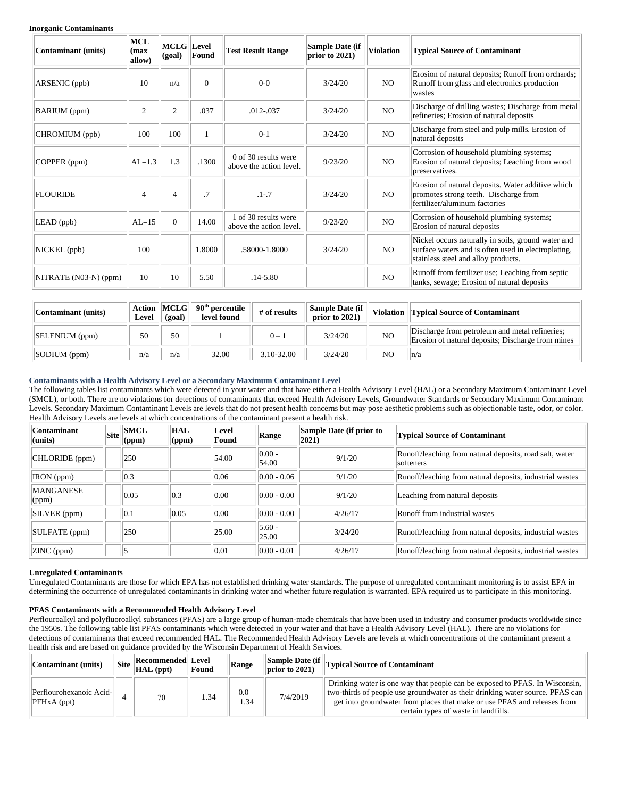#### **Inorganic Contaminants**

| Contaminant (units)   | MCL<br>(max<br>allow) | <b>MCLG</b> Level<br>(goal) | Found     | <b>Test Result Range</b>                        | Sample Date (if<br>prior to $2021$ ) | <b>Violation</b> | <b>Typical Source of Contaminant</b>                                                                                                             |
|-----------------------|-----------------------|-----------------------------|-----------|-------------------------------------------------|--------------------------------------|------------------|--------------------------------------------------------------------------------------------------------------------------------------------------|
| ARSENIC (ppb)         | 10                    | n/a                         | $\Omega$  | $0-0$                                           | 3/24/20                              | N <sub>O</sub>   | Erosion of natural deposits; Runoff from orchards;<br>Runoff from glass and electronics production<br>wastes                                     |
| <b>BARIUM</b> (ppm)   | $\overline{c}$        | $\overline{2}$              | .037      | $.012 - .037$                                   | 3/24/20                              | NO.              | Discharge of drilling wastes; Discharge from metal<br>refineries; Erosion of natural deposits                                                    |
| CHROMIUM (ppb)        | 100                   | 100                         |           | $0-1$                                           | 3/24/20                              | NO.              | Discharge from steel and pulp mills. Erosion of<br>natural deposits                                                                              |
| COPPER (ppm)          | $AL=1.3$              | 1.3                         | .1300     | 0 of 30 results were<br>above the action level. | 9/23/20                              | NO.              | Corrosion of household plumbing systems;<br>Erosion of natural deposits; Leaching from wood<br>preservatives.                                    |
| <b>FLOURIDE</b>       | 4                     | $\overline{4}$              | $\cdot$ 7 | $.1 - .7$                                       | 3/24/20                              | N <sub>O</sub>   | Erosion of natural deposits. Water additive which<br>promotes strong teeth. Discharge from<br>fertilizer/aluminum factories                      |
| LEAD (ppb)            | $AI = 15$             | $\Omega$                    | 14.00     | 1 of 30 results were<br>above the action level. | 9/23/20                              | N <sub>O</sub>   | Corrosion of household plumbing systems;<br>Erosion of natural deposits                                                                          |
| NICKEL (ppb)          | 100                   |                             | 1.8000    | .58000-1.8000                                   | 3/24/20                              | NO.              | Nickel occurs naturally in soils, ground water and<br>surface waters and is often used in electroplating.<br>stainless steel and alloy products. |
| NITRATE (N03-N) (ppm) | 10                    | 10                          | 5.50      | $.14 - 5.80$                                    |                                      | N <sub>O</sub>   | Runoff from fertilizer use; Leaching from septic<br>tanks, sewage; Erosion of natural deposits                                                   |

| Contaminant (units) | Level | Action   MCLG  <br>(goal) | 90 <sup>th</sup> percentile<br>level found | # of results | <b>Sample Date (if</b><br>prior to $2021$ ) | <b>Violation</b> | <b>Typical Source of Contaminant</b>                                                                |
|---------------------|-------|---------------------------|--------------------------------------------|--------------|---------------------------------------------|------------------|-----------------------------------------------------------------------------------------------------|
| SELENIUM (ppm)      | 50    | 50                        |                                            | $0 - 1$      | 3/24/20                                     | NO               | Discharge from petroleum and metal refineries;<br>Erosion of natural deposits; Discharge from mines |
| SODIUM (ppm)        | n/a   | n/a                       | 32.00                                      | 3.10-32.00   | 3/24/20                                     | N <sub>O</sub>   | $\ln/a$                                                                                             |

## **Contaminants with a Health Advisory Level or a Secondary Maximum Contaminant Level**

The following tables list contaminants which were detected in your water and that have either a Health Advisory Level (HAL) or a Secondary Maximum Contaminant Level (SMCL), or both. There are no violations for detections of contaminants that exceed Health Advisory Levels, Groundwater Standards or Secondary Maximum Contaminant Levels. Secondary Maximum Contaminant Levels are levels that do not present health concerns but may pose aesthetic problems such as objectionable taste, odor, or color. Health Advisory Levels are levels at which concentrations of the contaminant present a health risk.

| <b>Contaminant</b><br>$ $ (units) | Site | <b>SMCL</b><br>(ppm) | <b>HAL</b><br>$\left($ ppm $\right)$ | Level<br>Found | Range              | Sample Date (if prior to<br>$ 2021\rangle$ | <b>Typical Source of Contaminant</b>                                 |
|-----------------------------------|------|----------------------|--------------------------------------|----------------|--------------------|--------------------------------------------|----------------------------------------------------------------------|
| CHLORIDE (ppm)                    |      | 250                  |                                      | 54.00          | $ 0.00 -$<br>54.00 | 9/1/20                                     | Runoff/leaching from natural deposits, road salt, water<br>softeners |
| IRON (ppm)                        |      | 0.3                  |                                      | 0.06           | $ 0.00 - 0.06 $    | 9/1/20                                     | Runoff/leaching from natural deposits, industrial wastes             |
| <b>MANGANESE</b><br>(ppm)         |      | 0.05                 | $ 0.3\rangle$                        | 0.00           | $ 0.00 - 0.00 $    | 9/1/20                                     | Leaching from natural deposits                                       |
| SILVER (ppm)                      |      | 0.1                  | 0.05                                 | 0.00           | $ 0.00 - 0.00 $    | 4/26/17                                    | Runoff from industrial wastes                                        |
| SULFATE (ppm)                     |      | 250                  |                                      | 25.00          | $5.60 -$<br>25.00  | 3/24/20                                    | Runoff/leaching from natural deposits, industrial wastes             |
| $ZINC$ (ppm)                      |      |                      |                                      | 0.01           | $ 0.00 - 0.01 $    | 4/26/17                                    | Runoff/leaching from natural deposits, industrial wastes             |

### **Unregulated Contaminants**

Unregulated Contaminants are those for which EPA has not established drinking water standards. The purpose of unregulated contaminant monitoring is to assist EPA in determining the occurrence of unregulated contaminants in drinking water and whether future regulation is warranted. EPA required us to participate in this monitoring.

## **PFAS Contaminants with a Recommended Health Advisory Level**

Perflouroalkyl and polyfluoroalkyl substances (PFAS) are a large group of human-made chemicals that have been used in industry and consumer products worldwide since the 1950s. The following table list PFAS contaminants which were detected in your water and that have a Health Advisory Level (HAL). There are no violations for detections of contaminants that exceed recommended HAL. The Recommended Health Advisory Levels are levels at which concentrations of the contaminant present a health risk and are based on guidance provided by the Wisconsin Department of Health Services.

| Contaminant (units)                      | Recommended Level<br>$\left  \text{Site} \right $ $\left  \text{HAL} \left( \text{ppt} \right) \right $ | Found | Range           | <b>Sample Date (if</b><br>$ prior\ to\ 2021\rangle$ | <b>Typical Source of Contaminant</b>                                                                                                                                                                                                                                             |  |  |
|------------------------------------------|---------------------------------------------------------------------------------------------------------|-------|-----------------|-----------------------------------------------------|----------------------------------------------------------------------------------------------------------------------------------------------------------------------------------------------------------------------------------------------------------------------------------|--|--|
| Perflourohexanoic Acid-<br>$PFHxA$ (ppt) | 70                                                                                                      | .34   | $0.0 -$<br>1.34 | 7/4/2019                                            | Drinking water is one way that people can be exposed to PFAS. In Wisconsin,<br>two-thirds of people use groundwater as their drinking water source. PFAS can<br>get into groundwater from places that make or use PFAS and releases from<br>certain types of waste in landfills. |  |  |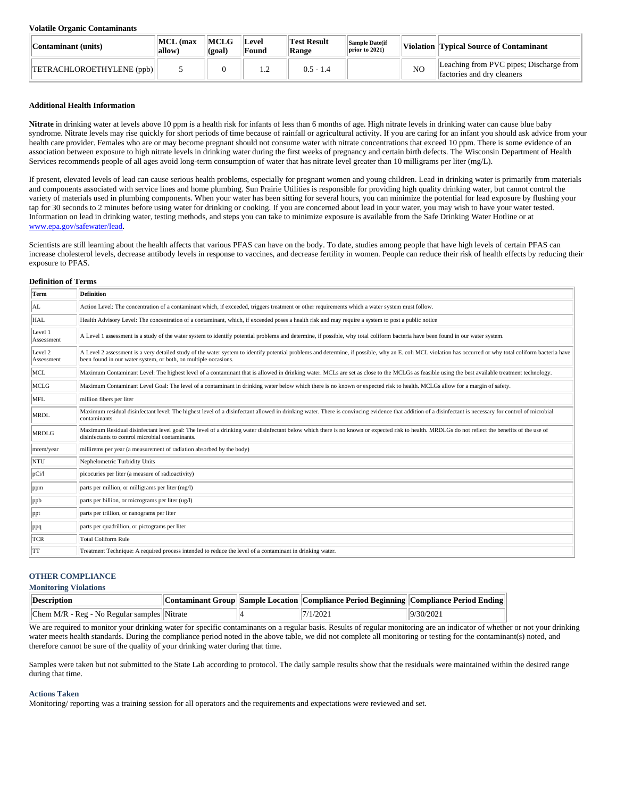#### **Volatile Organic Contaminants**

| Contaminant (units)       | MCL (max<br>$\mathbf{allow}$ | <b>MCLG</b><br>(goal | Level<br>Found | <b>Test Result</b><br>Range | <b>Sample Date(if</b><br>prior to 2021) |                | Violation Typical Source of Contaminant                               |
|---------------------------|------------------------------|----------------------|----------------|-----------------------------|-----------------------------------------|----------------|-----------------------------------------------------------------------|
| TETRACHLOROETHYLENE (ppb) |                              |                      |                | $0.5 - 1.4$                 |                                         | N <sub>O</sub> | Leaching from PVC pipes; Discharge from<br>factories and dry cleaners |

### **Additional Health Information**

**Nitrate** in drinking water at levels above 10 ppm is a health risk for infants of less than 6 months of age. High nitrate levels in drinking water can cause blue baby syndrome. Nitrate levels may rise quickly for short periods of time because of rainfall or agricultural activity. If you are caring for an infant you should ask advice from your health care provider. Females who are or may become pregnant should not consume water with nitrate concentrations that exceed 10 ppm. There is some evidence of an association between exposure to high nitrate levels in drinking water during the first weeks of pregnancy and certain birth defects. The Wisconsin Department of Health Services recommends people of all ages avoid long-term consumption of water that has nitrate level greater than 10 milligrams per liter (mg/L).

If present, elevated levels of lead can cause serious health problems, especially for pregnant women and young children. Lead in drinking water is primarily from materials and components associated with service lines and home plumbing. Sun Prairie Utilities is responsible for providing high quality drinking water, but cannot control the variety of materials used in plumbing components. When your water has been sitting for several hours, you can minimize the potential for lead exposure by flushing your tap for 30 seconds to 2 minutes before using water for drinking or cooking. If you are concerned about lead in your water, you may wish to have your water tested. Information on lead in drinking water, testing methods, and steps you can take to minimize exposure is available from the Safe Drinking Water Hotline or at [www.epa.gov/safewater/lead.](http://www.epa.gov/safewater/lead)

Scientists are still learning about the health affects that various PFAS can have on the body. To date, studies among people that have high levels of certain PFAS can increase cholesterol levels, decrease antibody levels in response to vaccines, and decrease fertility in women. People can reduce their risk of health effects by reducing their exposure to PFAS.

#### **Definition of Terms**

| Term                  | <b>Definition</b>                                                                                                                                                                                                                                                             |
|-----------------------|-------------------------------------------------------------------------------------------------------------------------------------------------------------------------------------------------------------------------------------------------------------------------------|
| AL.                   | Action Level: The concentration of a contaminant which, if exceeded, triggers treatment or other requirements which a water system must follow.                                                                                                                               |
| <b>HAL</b>            | Health Advisory Level: The concentration of a contaminant, which, if exceeded poses a health risk and may require a system to post a public notice                                                                                                                            |
| Level 1<br>Assessment | A Level 1 assessment is a study of the water system to identify potential problems and determine, if possible, why total coliform bacteria have been found in our water system.                                                                                               |
| Level 2<br>Assessment | A Level 2 assessment is a very detailed study of the water system to identify potential problems and determine, if possible, why an E. coli MCL violation has occurred or why total coliform bacteria have<br>been found in our water system, or both, on multiple occasions. |
| MCL                   | Maximum Contaminant Level: The highest level of a contaminant that is allowed in drinking water. MCLs are set as close to the MCLGs as feasible using the best available treatment technology.                                                                                |
| MCLG                  | Maximum Contaminant Level Goal: The level of a contaminant in drinking water below which there is no known or expected risk to health. MCLGs allow for a margin of safety.                                                                                                    |
| MFL                   | million fibers per liter                                                                                                                                                                                                                                                      |
| <b>MRDL</b>           | Maximum residual disinfectant level: The highest level of a disinfectant allowed in drinking water. There is convincing evidence that addition of a disinfectant is necessary for control of microbial<br>contaminants.                                                       |
| <b>MRDLG</b>          | Maximum Residual disinfectant level goal: The level of a drinking water disinfectant below which there is no known or expected risk to health. MRDLGs do not reflect the benefits of the use of<br>disinfectants to control microbial contaminants.                           |
| mrem/year             | millirems per year (a measurement of radiation absorbed by the body)                                                                                                                                                                                                          |
| NTU                   | Nephelometric Turbidity Units                                                                                                                                                                                                                                                 |
| pCi/1                 | picocuries per liter (a measure of radioactivity)                                                                                                                                                                                                                             |
| ppm                   | parts per million, or milligrams per liter (mg/l)                                                                                                                                                                                                                             |
| ppb                   | parts per billion, or micrograms per liter (ug/l)                                                                                                                                                                                                                             |
| ppt                   | parts per trillion, or nanograms per liter                                                                                                                                                                                                                                    |
| ppq                   | parts per quadrillion, or pictograms per liter                                                                                                                                                                                                                                |
| <b>TCR</b>            | Total Coliform Rule                                                                                                                                                                                                                                                           |
| <b>TT</b>             | Treatment Technique: A required process intended to reduce the level of a contaminant in drinking water.                                                                                                                                                                      |

# **OTHER COMPLIANCE**

### **Monitoring Violations**

| Description                                     |  | Contaminant Group Sample Location Compliance Period Beginning Compliance Period Ending |           |
|-------------------------------------------------|--|----------------------------------------------------------------------------------------|-----------|
| $ Chem M/R - Reg - No Regular samples  Nitrate$ |  | 7/1/2021                                                                               | 9/30/2021 |

We are required to monitor your drinking water for specific contaminants on a regular basis. Results of regular monitoring are an indicator of whether or not your drinking water meets health standards. During the compliance period noted in the above table, we did not complete all monitoring or testing for the contaminant(s) noted, and therefore cannot be sure of the quality of your drinking water during that time.

Samples were taken but not submitted to the State Lab according to protocol. The daily sample results show that the residuals were maintained within the desired range during that time.

## **Actions Taken**

Monitoring/ reporting was a training session for all operators and the requirements and expectations were reviewed and set.